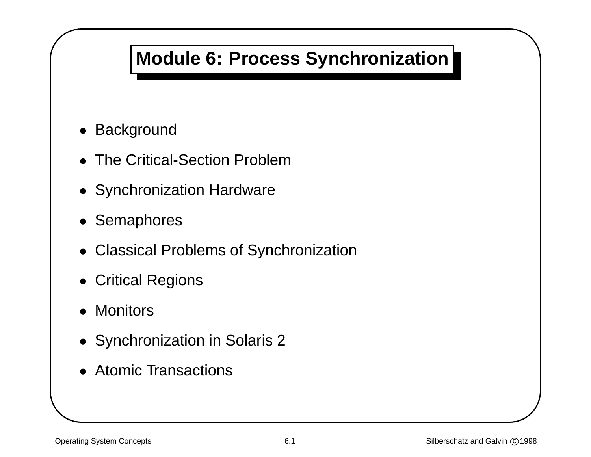## **Module 6: Process Synchronization**

& • Background

 $\sqrt{2}$ 

- The Critical-Section Problem
- Synchronization Hardware
- Semaphores
- Classical Problems of Synchronization
- Critical Regions
- Monitors
- Synchronization in Solaris 2
- Atomic Transactions

 $\bigwedge$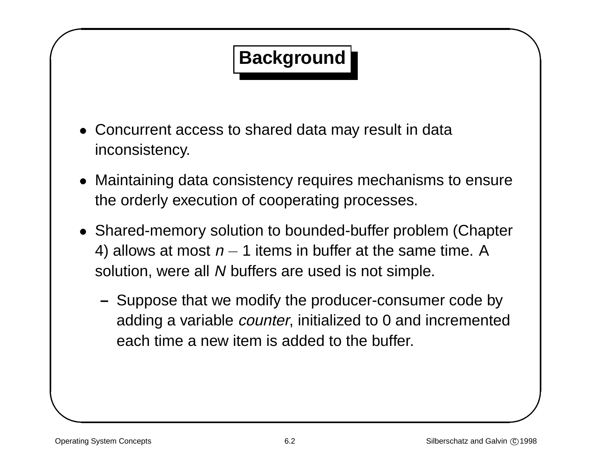# **Background**

- Concurrent access to shared data may result in data inconsistency.
- Maintaining data consistency requires mechanisms to ensure the orderly execution of cooperating processes.
- & % • Shared-memory solution to bounded-buffer problem (Chapter 4) allows at most  $n-1$  items in buffer at the same time. A solution, were all N buffers are used is not simple.
	- **–** Suppose that we modify the producer-consumer code by adding <sup>a</sup> variable counter, initialized to 0 and incremented each time a new item is added to the buffer.

 $\sqrt{2}$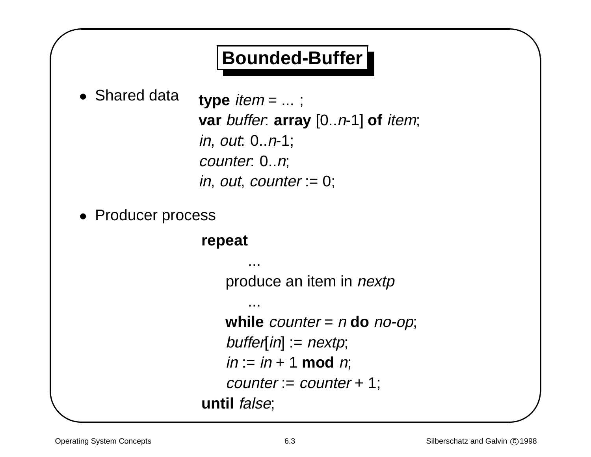## **Bounded-Buffer**

& • Shared data

 $\sqrt{2}$ 

type  $item = ...$ ; **var** buffer: **array** [0..n-1] **of** item; in, out: 0..n-1; counter: 0..n; in, out, counter  $= 0$ ;

• Producer process

#### **repeat**

...

...

produce an item in nextp

**while** counter <sup>=</sup> <sup>n</sup> **do** no-op;  $buffer[in] := nextp;$  $in := in + 1 \text{ mod } n;$  $counter := counter + 1;$ **until** false;

 $\bigwedge$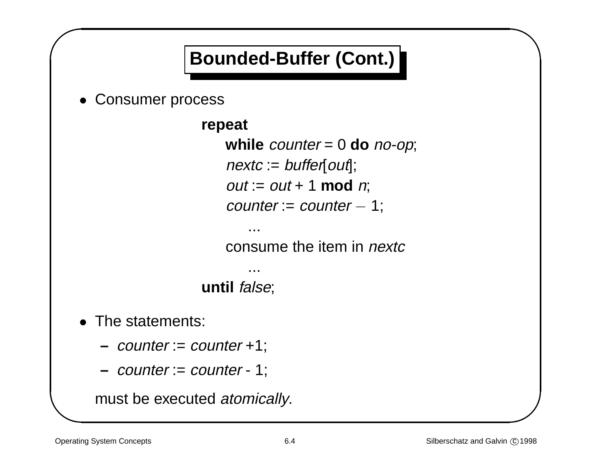# **Bounded-Buffer (Cont.)**

& • Consumer process

 $\sqrt{2}$ 

```
repeat
   while counter = 0 do no-op;
   nextc := buffer[out];out := out + 1 \text{ mod } n;counter := counter - 1;
```
consume the item in *nextc* 

**until** false;

...

...

• The statements:

**–** counter := counter +1;

**–** counter := counter - 1;

must be executed atomically.

 $\bigwedge$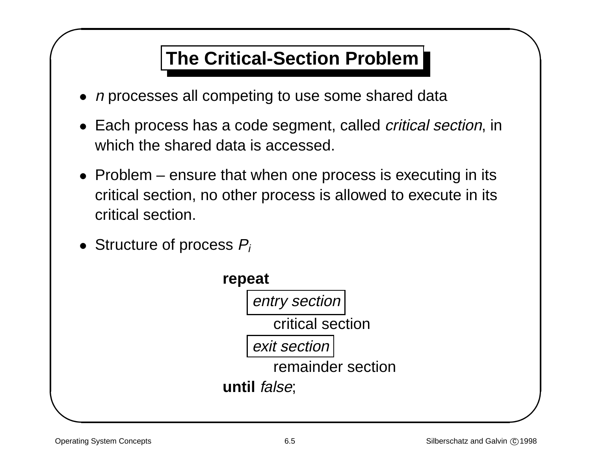## **The Critical-Section Problem**

- $\bullet$  n processes all competing to use some shared data
- Each process has <sup>a</sup> code segment, called critical section, in which the shared data is accessed.
- & • Problem – ensure that when one process is executing in its critical section, no other process is allowed to execute in its critical section.
	- Structure of process  $P_i$



 $\sqrt{2}$ 

 $\bigwedge$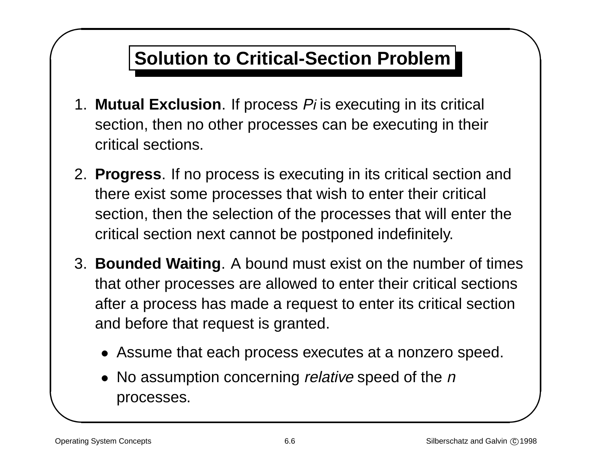## **Solution to Critical-Section Problem**

- 1. **Mutual Exclusion**. If process Pi is executing in its critical section, then no other processes can be executing in their critical sections.
- & 2. **Progress**. If no process is executing in its critical section and there exist some processes that wish to enter their critical section, then the selection of the processes that will enter the critical section next cannot be postponed indefinitely.
- $\begin{array}{c}\n\cdot & \cdot & \cdot \\
\cdot & \cdot & \cdot \\
\cdot & \cdot & \cdot \\
\cdot & \cdot & \cdot\n\end{array}$ 3. **Bounded Waiting**. A bound must exist on the number of times that other processes are allowed to enter their critical sections after <sup>a</sup> process has made <sup>a</sup> request to enter its critical section and before that request is granted.
	- Assume that each process executes at <sup>a</sup> nonzero speed.
	- No assumption concerning *relative* speed of the *n* processes.

 $\sqrt{2}$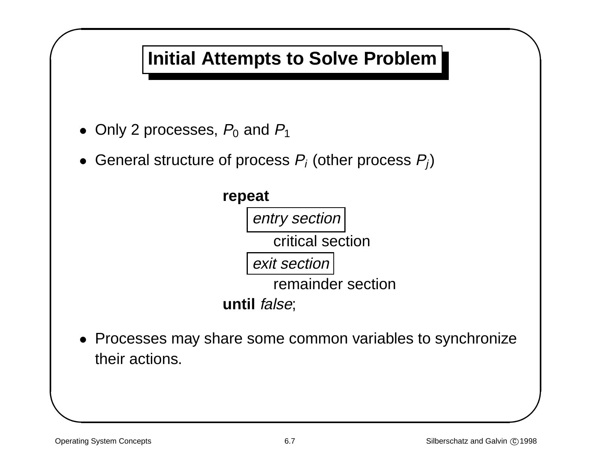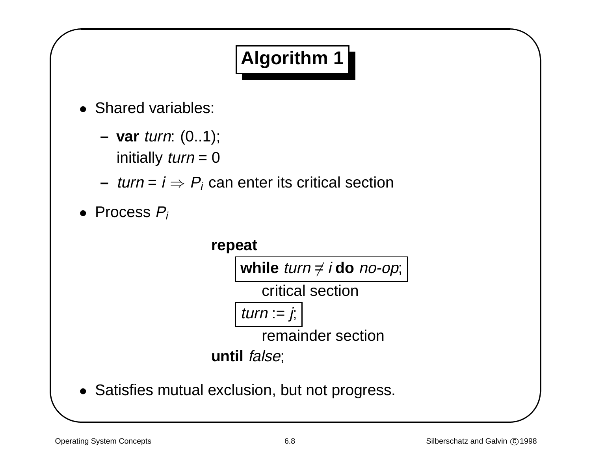# **Algorithm 1**

- Shared variables:
	- **– var** turn: (0..1); initially  $turn = 0$
	- $−$  *turn* = *i*  $⇒$   $P_i$  can enter its critical section
- & • Process  $P_i$

 $\sqrt{2}$ 



 $\bigwedge$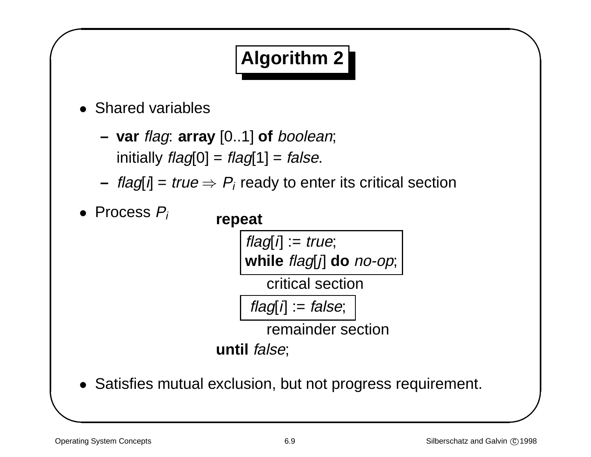# **Algorithm 2**

- Shared variables
	- **– var** flag: **array** [0..1] **of** boolean; initially  $flag[0] = flag[1] = false$ .
	- **–** $-$  *flag*[*i*] = *true*  $\Rightarrow$   $P_i$  ready to enter its critical section
- & • Process Pi **repeat**

 $\sqrt{2}$ 

 $flag[i] := true;$ **while** flag[j] **do** no-op;

critical section

 $flag[i] := false;$ 

remainder section

**until** false;

• Satisfies mutual exclusion, but not progress requirement.

 $\bigwedge$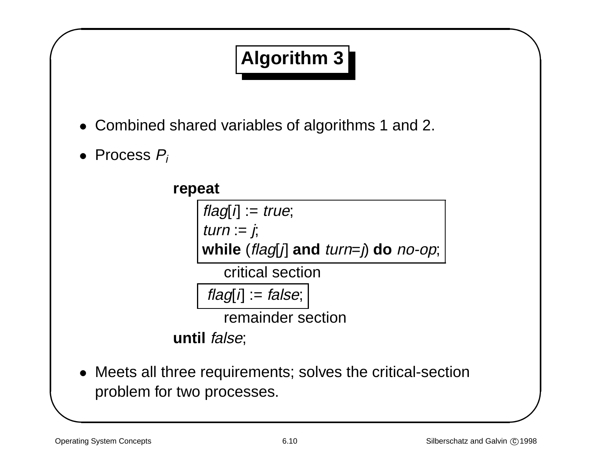# **Algorithm 3**

- & • Combined shared variables of algorithms 1 and 2.
	- Process  $P_i$

 $\sqrt{2}$ 

**repeat**  $flag[i] := true;$ turn :=  $j$ ; **while** (flag[j] **and** turn=j) **do** no-op; critical section  $flag[i] := false;$ 

remainder section

**until** false;

• Meets all three requirements; solves the critical-section problem for two processes.

 $\bigwedge$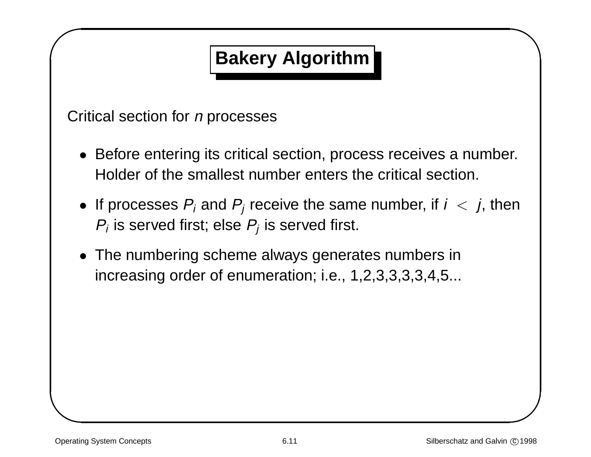# **Bakery Algorithm**

& Critical section for *n* processes

- Before entering its critical section, process receives <sup>a</sup> number. Holder of the smallest number enters the critical section.
- $\begin{array}{c}\n\text{r.} \\
\text{m.} \\
\hline\n\end{array}$  $\bullet\,$  If processes  $P_i$  and  $P_j$  receive the same number, if  $i\,<\,j,$  then  $P_i$  is served first; else  $P_i$  is served first.
- The numbering scheme always generates numbers in increasing order of enumeration; i.e., 1,2,3,3,3,3,4,5...

 $\sqrt{2}$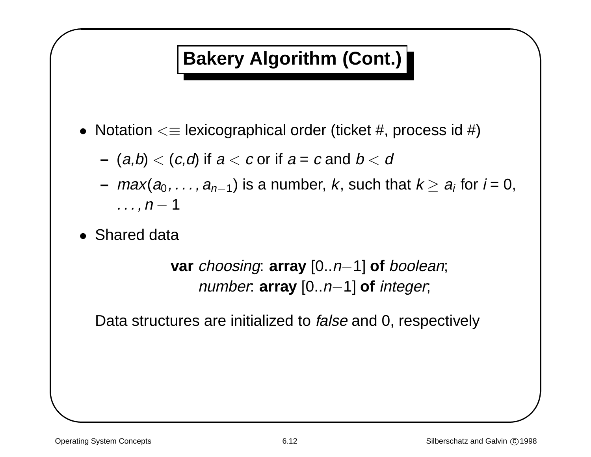# **Bakery Algorithm (Cont.)**

- &  $\bullet\,$  Notation  $<\equiv$  lexicographical order (ticket #, process id #)
	- **–** $\left(\right.\hspace{0.1 cm}a,b\right)<\left(\right. c,\right.$  of if  $a < c$  or if  $a = c$  and  $b < d$
- %  $\;-\;max(a_0,\ldots,a_{n-1})$  is a number,  $k,$  such that  $k\geq a_i$  for  $i$  = 0,  $\ldots$ ,  $n-1$ 
	- Shared data

 $\sqrt{2}$ 

**var** choosing: **array** [0..n−1] **of** boolean; number: **array** [0..n−1] **of** integer;

Data structures are initialized to *false* and 0, respectively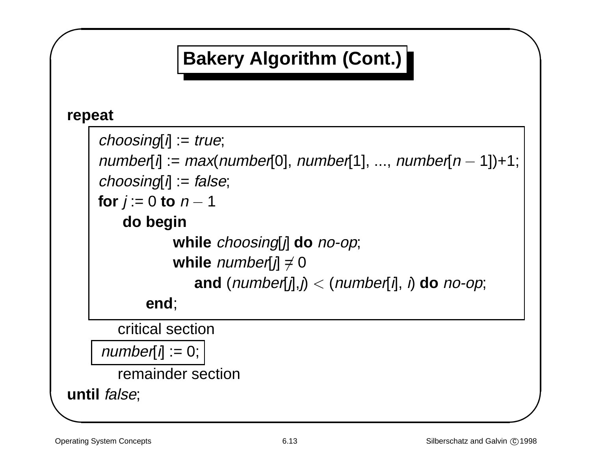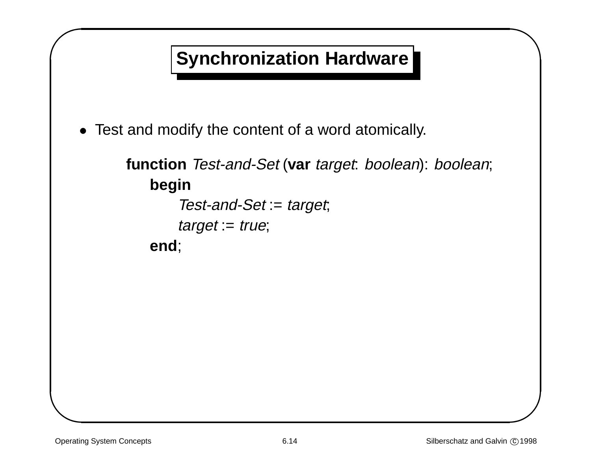# **Synchronization Hardware**

& • Test and modify the content of <sup>a</sup> word atomically.

## **function** Test-and-Set (**var** target: boolean): boolean; **begin**

```
Test-and-Set := target;
    target := true;end;
```
 $\sqrt{2}$ 

 $\bigwedge$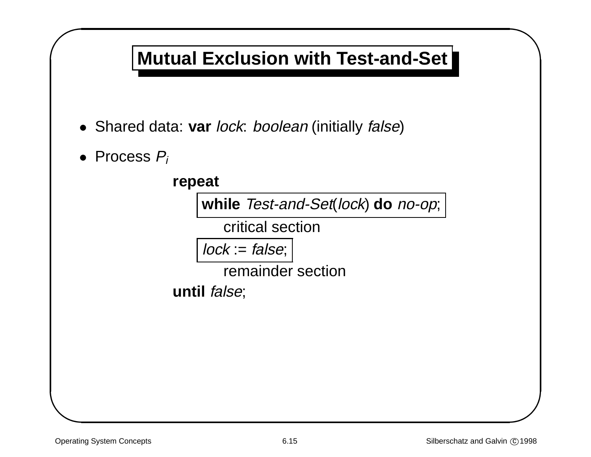## **Mutual Exclusion with Test-and-Set**

- Shared data: **var** lock: boolean (initially false)
- & • Process  $P_i$

 $\sqrt{2}$ 



 $\bigwedge$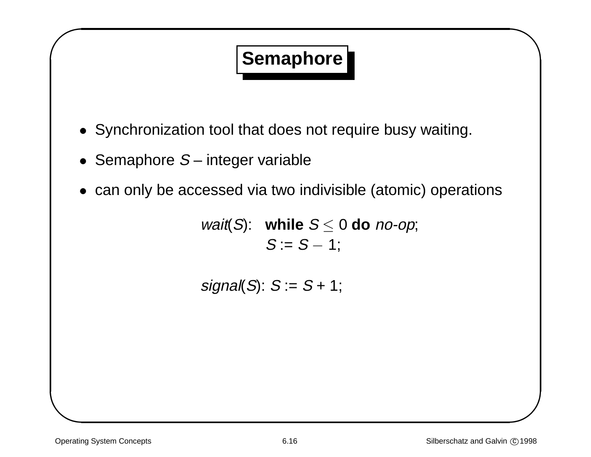# **Semaphore**

- & • Synchronization tool that does not require busy waiting.
	- Semaphore  $S-$  integer variable
	- can only be accessed via two indivisible (atomic) operations

*wait*(S): while  $S \le 0$  do *no-op*;  $S := S - 1$ ;

 $signal(S): S := S + 1;$ 

 $\sqrt{2}$ 

 $\bigwedge$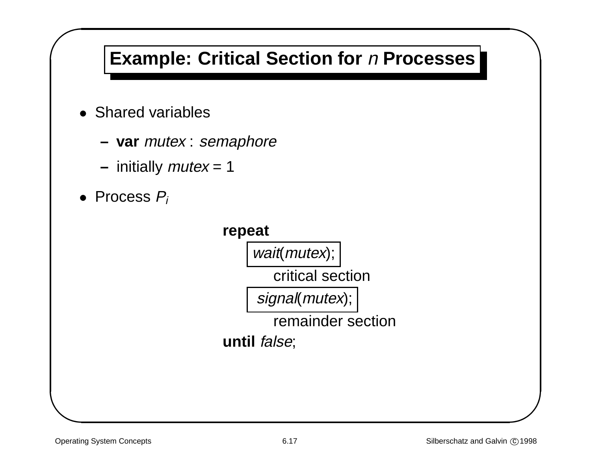# **Example: Critical Section for** <sup>n</sup> **Processes**

- Shared variables
	- **– var** mutex : semaphore
	- **–** initially mutex <sup>=</sup> 1
- & • Process  $P_i$

 $\sqrt{2}$ 



 $\bigwedge$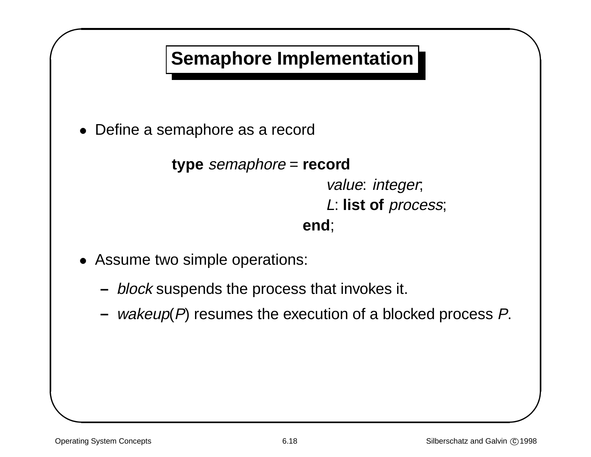

& • Define <sup>a</sup> semaphore as <sup>a</sup> record

```
type semaphore = record
                      value: integer;
```
L: **list of** process;

#### **end**;

- Assume two simple operations:
	- **–** block suspends the process that invokes it.
- % **–**–  $\mathit{wakeup}(P)$  resumes the execution of a blocked process  $P$ .

 $\sqrt{2}$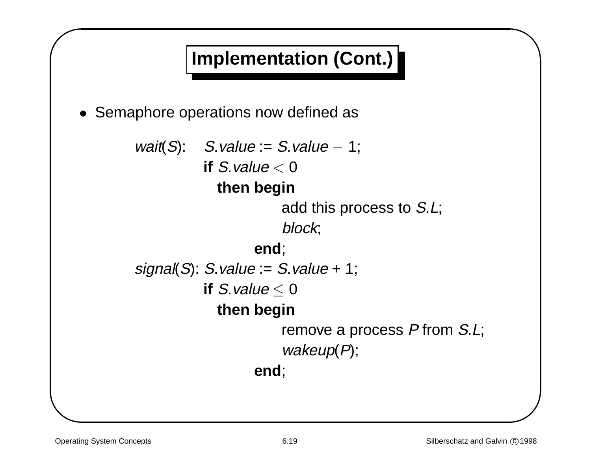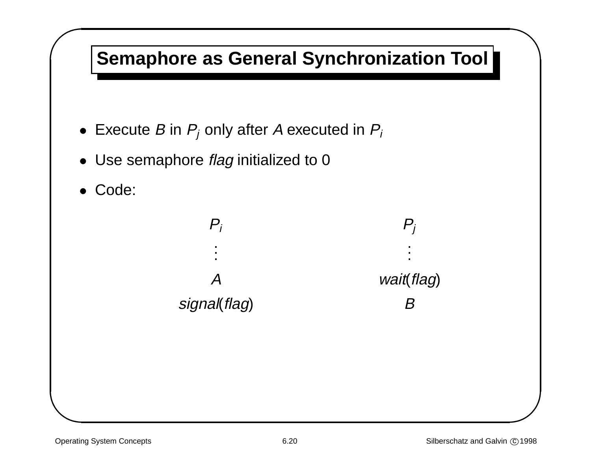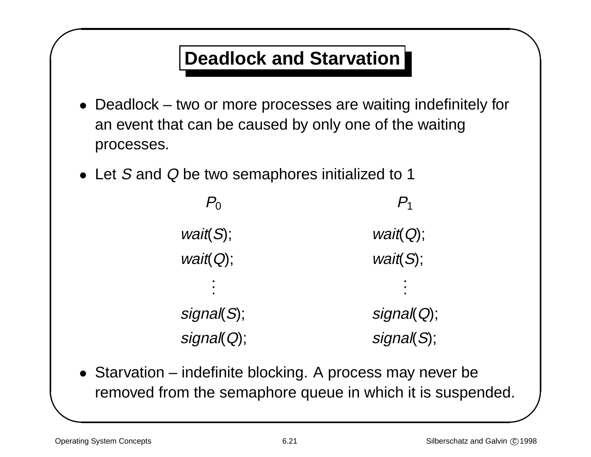## **Deadlock and Starvation**

- & % • Deadlock – two or more processes are waiting indefinitely for an event that can be caused by only one of the waiting processes.
	- Let S and Q be two semaphores initialized to 1

 $P_0$   $P_1$  $wait(S);$  wait( $Q$ );  $wait(Q);$  wait(S); . . . . . . signal(S); signal(Q); signal(Q); signal(S);

• Starvation – indefinite blocking. A process may never be removed from the semaphore queue in which it is suspended.

 $\sqrt{2}$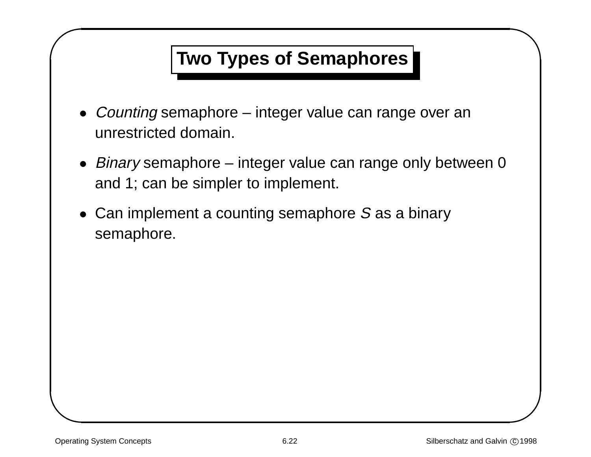## **Two Types of Semaphores**

- Counting semaphore integer value can range over an unrestricted domain.
- % • Binary semaphore – integer value can range only between 0 and 1; can be simpler to implement.
- & • Can implement a counting semaphore S as a binary semaphore.

 $\sqrt{2}$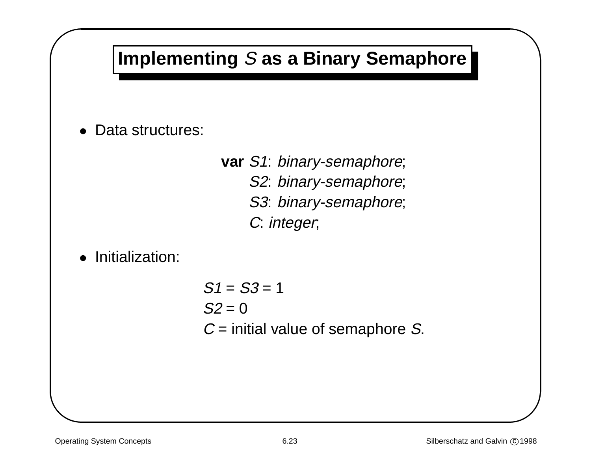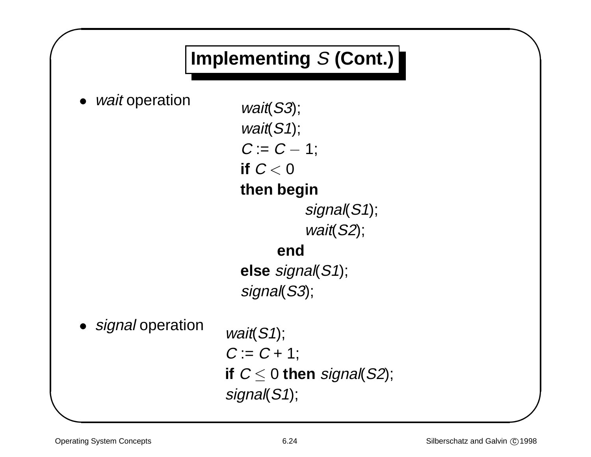# **Implementing** S **(Cont.)**

& • *wait* operation  $wait(S3);$ 

 $\sqrt{2}$ 

wait(S1);  $C := C - 1$ ; **if** C < 0 **then begin** signal(S1); wait(S2); **end else** signal(S1); signal(S3); • signal operation wait(S1);  $C := C + 1$ ; **if**  $C \leq 0$  **then** signal(S2); signal(S1);

 $\bigwedge$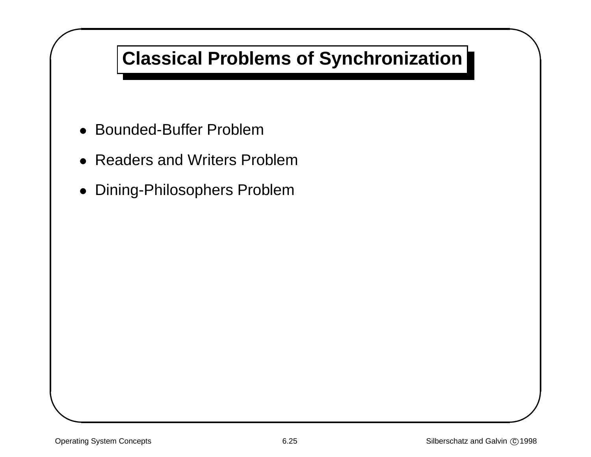## **Classical Problems of Synchronization**

- & • Bounded-Buffer Problem
	- Readers and Writers Problem
	- Dining-Philosophers Problem

 $\sqrt{2}$ 

 $\bigwedge$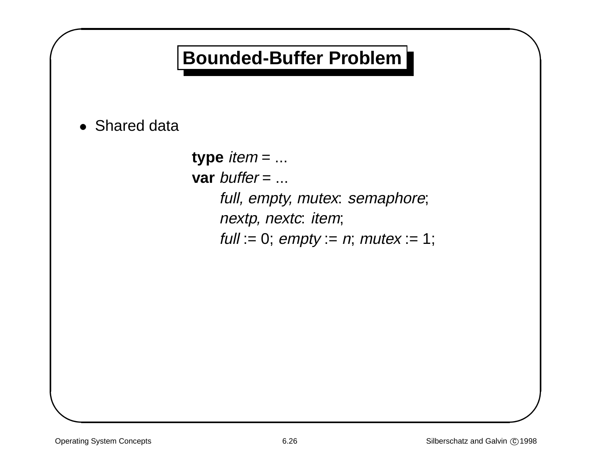## **Bounded-Buffer Problem**

& • Shared data

 $\sqrt{2}$ 

**type** item <sup>=</sup> ... **var** buffer = ... full, empty, mutex: semaphore; nextp, nextc: item; full := 0;  $empty := n$ ; mutex := 1;  $\bigwedge$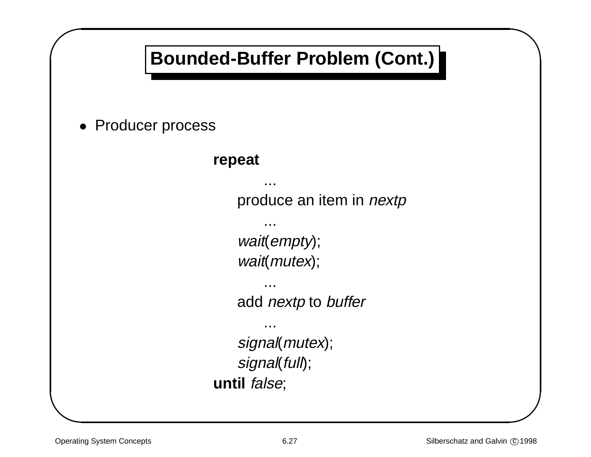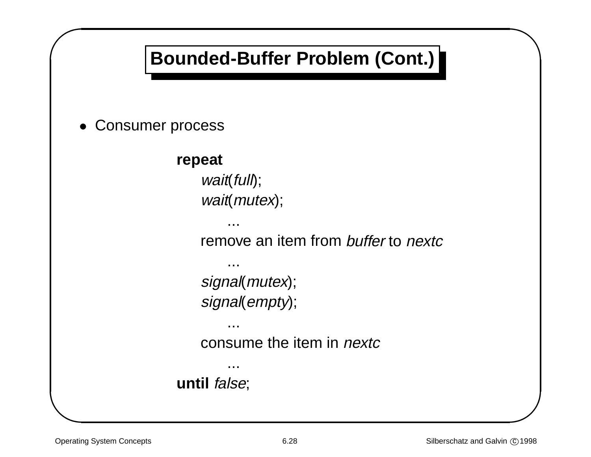# **Bounded-Buffer Problem (Cont.)**

& •Consumer process

 $\sqrt{2}$ 

#### **repeat**

wait(full); wait(mutex);

...

...

...

...

remove an item from buffer to nextc

signal(mutex); signal(empty);

consume the item in *nextc* 

**until** false;

 $\bigwedge$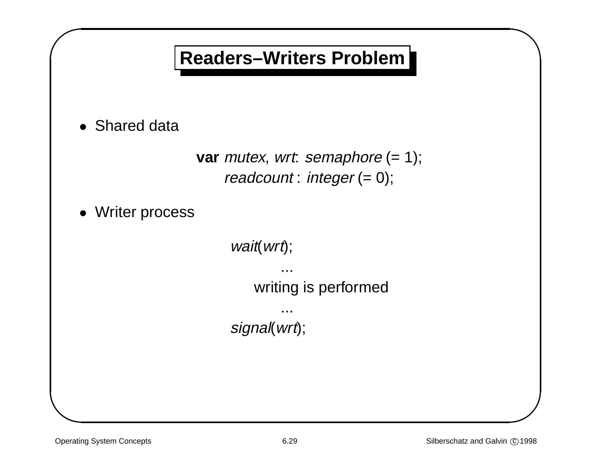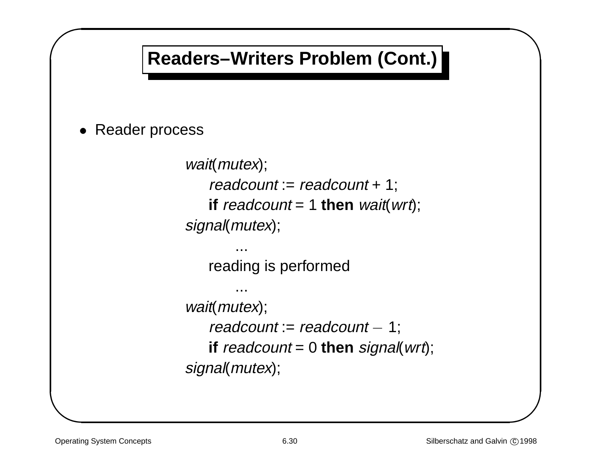# **Readers–Writers Problem (Cont.)**

& • Reader process

 $\sqrt{2}$ 

```
wait(mutex);
   readcount := readcount + 1;
   if readcount = 1 then wait(wrt);
signal(mutex);
        ...
   reading is performed
```

```
...
wait(mutex);
   readcount := readcount - 1;if readcount = 0 then signal(wrt);
signal(mutex);
```
 $\bigwedge$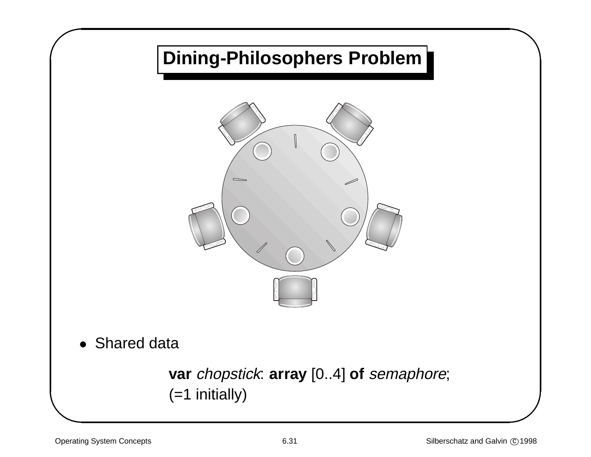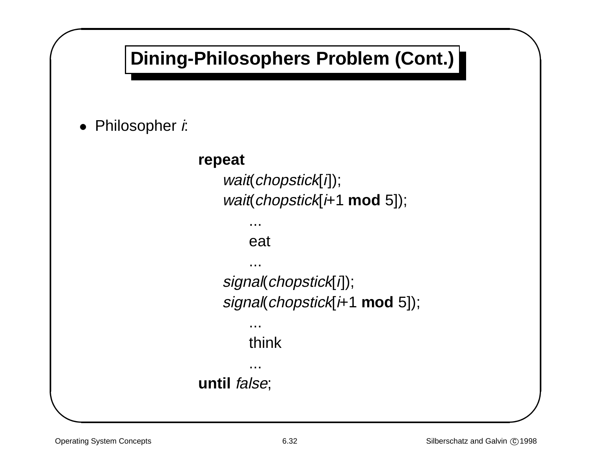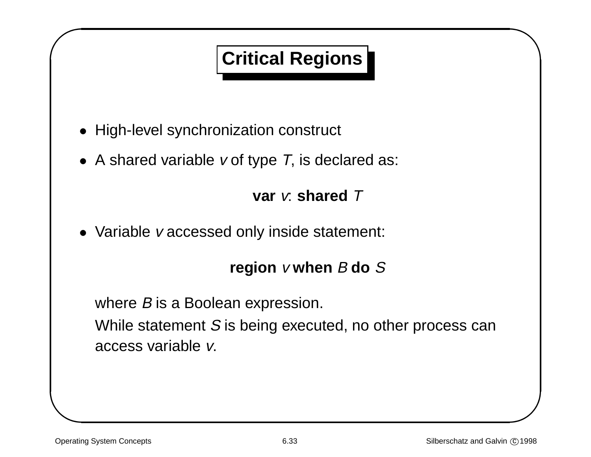# **Critical Regions**

- & • High-level synchronization construct
	- A shared variable  $v$  of type T, is declared as:

### **var** v: **shared** T

• Variable <sup>v</sup> accessed only inside statement:

### **region** <sup>v</sup> **when** B **do** S

where *B* is a Boolean expression.

While statement S is being executed, no other process can access variable v.

 $\sqrt{2}$ 

 $\bigwedge$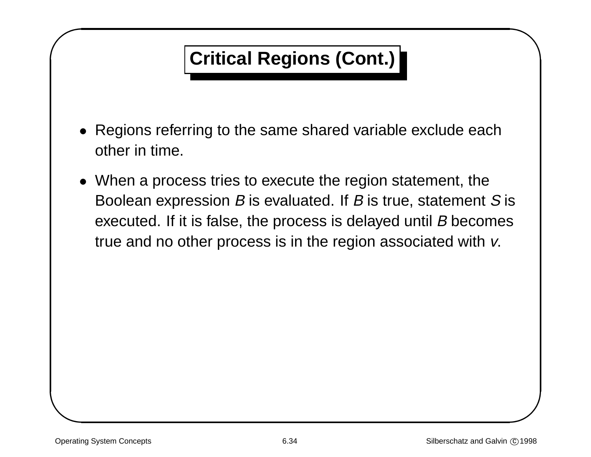# **Critical Regions (Cont.)**

- Regions referring to the same shared variable exclude each other in time.
- & % • When <sup>a</sup> process tries to execute the region statement, the Boolean expression  $B$  is evaluated. If  $B$  is true, statement  $S$  is executed. If it is false, the process is delayed until B becomes true and no other process is in the region associated with v.

 $\sqrt{2}$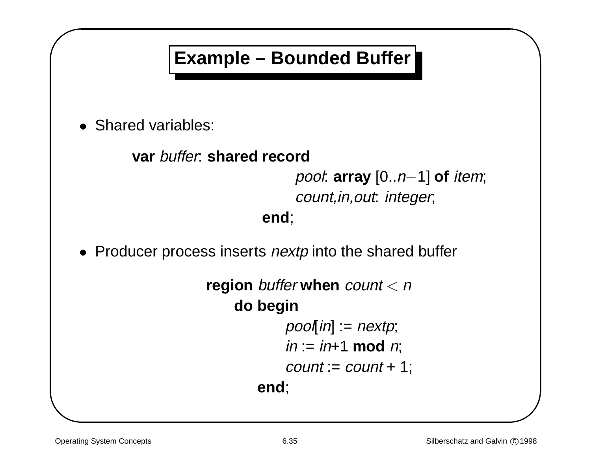## **Example – Bounded Buffer**

& • Shared variables:

 $\sqrt{2}$ 

### **var** buffer: **shared record**

pool: **array** [0..n−1] **of** item; count,in,out: integer;

**end**;

• Producer process inserts *nextp* into the shared buffer

```
region buffer when count < ndo begin
           pool[in] := nextp;in := in+1 \mod n;count := count + 1;end;
```
 $\bigwedge$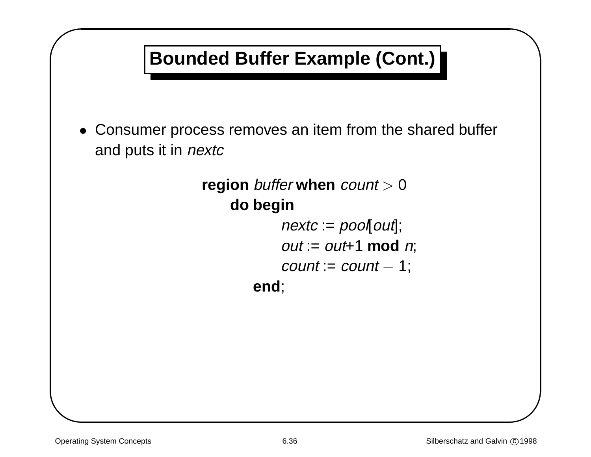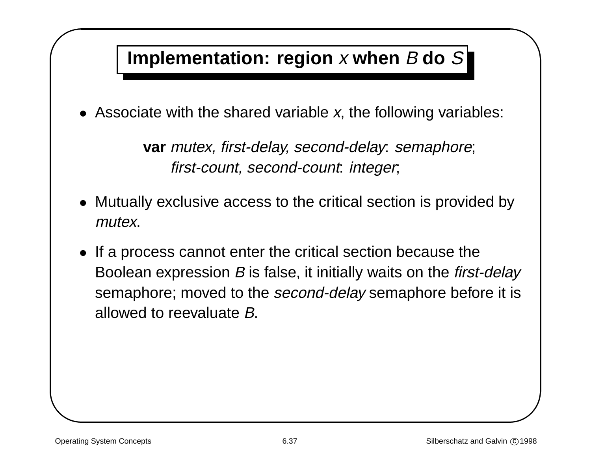## Implementation: region x when  $B$  do  $S$

• Associate with the shared variable  $x$ , the following variables:

**var** mutex, first-delay, second-delay: semaphore; first-count, second-count: integer;

- Mutually exclusive access to the critical section is provided by mutex.
- &  $\mathbf{y}$  is • If <sup>a</sup> process cannot enter the critical section because the Boolean expression *B* is false, it initially waits on the *first-delay* semaphore; moved to the second-delay semaphore before it is allowed to reevaluate B.

 $\sqrt{2}$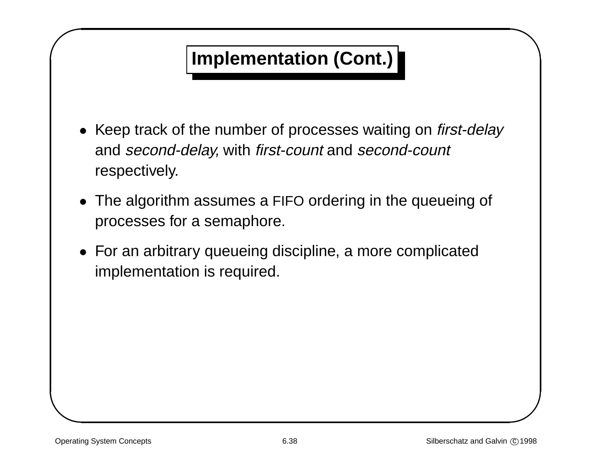# **Implementation (Cont.)**

- & • Keep track of the number of processes waiting on first-delay and second-delay, with first-count and second-count respectively.
	- The algorithm assumes <sup>a</sup> FIFO ordering in the queueing of processes for <sup>a</sup> semaphore.
	- For an arbitrary queueing discipline, <sup>a</sup> more complicated implementation is required.

 $\sqrt{2}$ 

 $\bigwedge$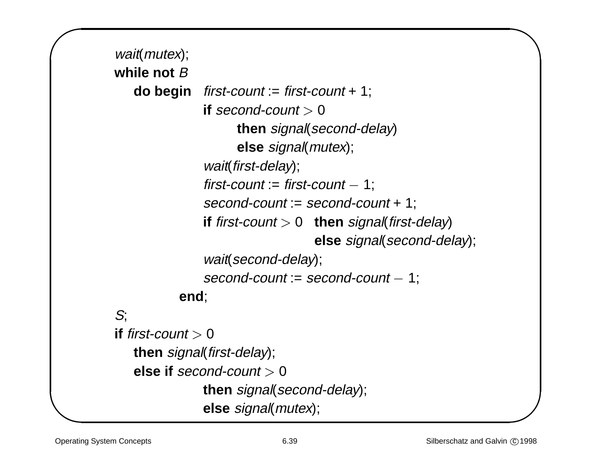```
wait(mutex);
while not B
  do begin first-count := first-count + 1;
              if second-count > 0then signal(second-delay)
                    else signal(mutex);
              wait(first-delay);
              first-count := first-count -1;
              second-count := second-count + 1;
              if first-count > 0 then signal(first-delay)
                                else signal(second-delay);
              wait(second-delay);
              second-count := second-count -1:
          end;
S;
if first-count > 0then signal(first-delay);
  else if second-count > 0then signal(second-delay);
              else signal(mutex);
```
 $\sqrt{2}$ 

&

 $\bigwedge$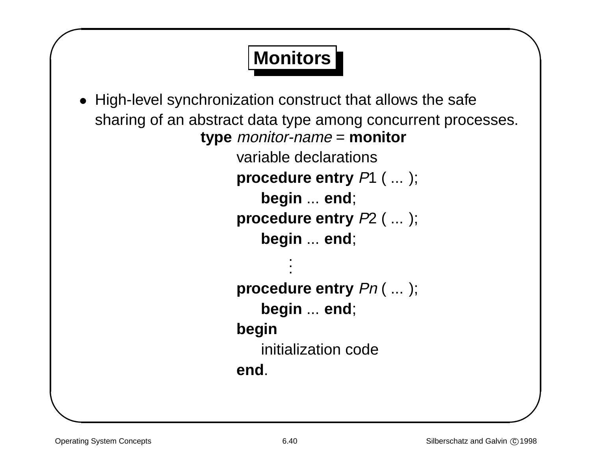# **Monitors**

```
&
                                                                              \begin{array}{c}\n\circ \\
\circ \\
\circ\n\end{array}• High-level synchronization construct that allows the safe
       sharing of an abstract data type among concurrent processes.
                         type monitor-name = monitor
                               variable declarations
                               procedure entry P1 ( ... );
                                   begin ... end;
                               procedure entry P2 ( ... );
                                   begin ... end;
                                        .
                                        .
                                        .
                               procedure entry Pn ( ... );
                                   begin ... end;
                               begin
                                   initialization code
                               end.
```
 $\sqrt{2}$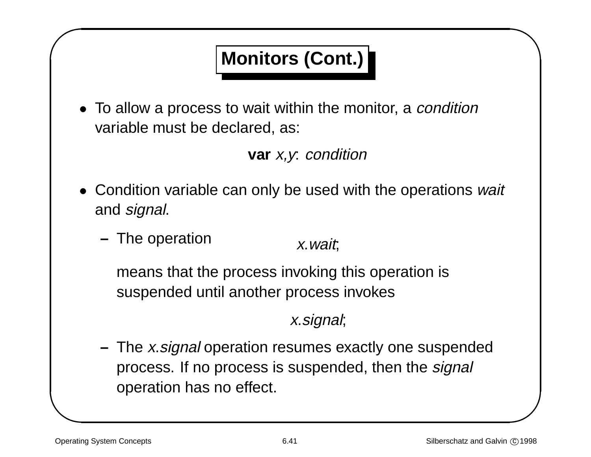# **Monitors (Cont.)**

& • To allow a process to wait within the monitor, a *condition* variable must be declared, as:

### **var** x,y: condition

- Condition variable can only be used with the operations wait and signal.
	- **–** The operation x.wait;

means that the process invoking this operation is suspended until another process invokes

### x.signal;

**–** The x.signal operation resumes exactly one suspended process. If no process is suspended, then the *signal* operation has no effect.

 $\sqrt{2}$ 

 $\bigwedge$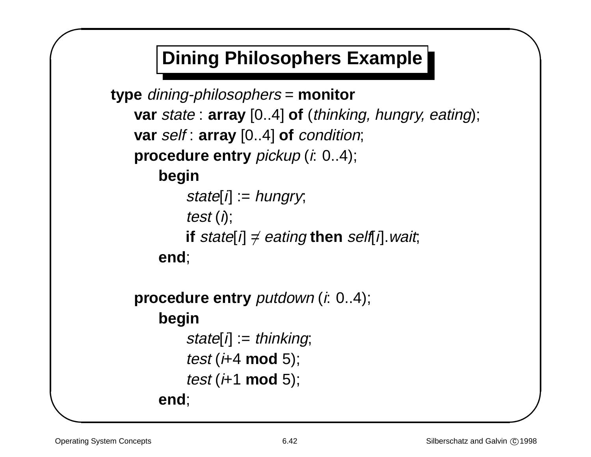## **Dining Philosophers Example**

```
type dining-philosophers = monitor
   var state : array [0..4] of (thinking, hungry, eating);
   var self : array [0..4] of condition;
   procedure entry pickup (i: 0..4);
       begin
           state[i] := hungry;
           test (i);
           if state[i] \neq eating then self[i]. wait;
       end;
   procedure entry putdown (i: 0..4);
       begin
           state[i] := thinking;test (i+4 mod 5);
           test (i+1 mod 5);
       end;
```
 $\sqrt{2}$ 

&

 $\bigwedge$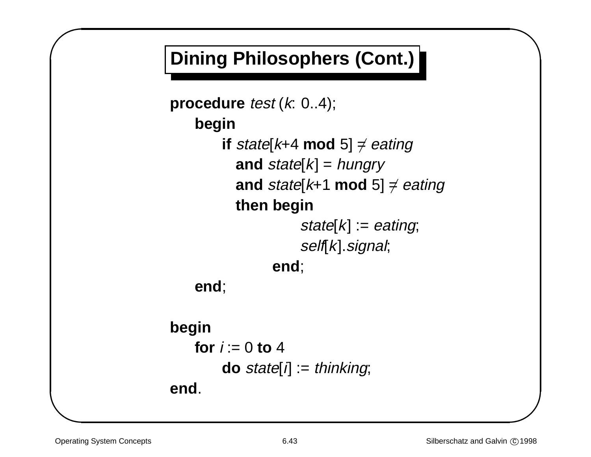# **Dining Philosophers (Cont.)**

```
procedure test (k: 0..4);
   begin
        if state[k+4 mod 5] \neq eating
          and state[k] = hungry
          and state[k+1 mod 5] \neq eating
          then begin
                    state[k] := eating;
                    self[k]. signal;
                end;
   end;
```

```
begin
   for i := 0 to 4
        do state[i] := thinking;
end.
```
 $\sqrt{2}$ 

&

 $\bigwedge$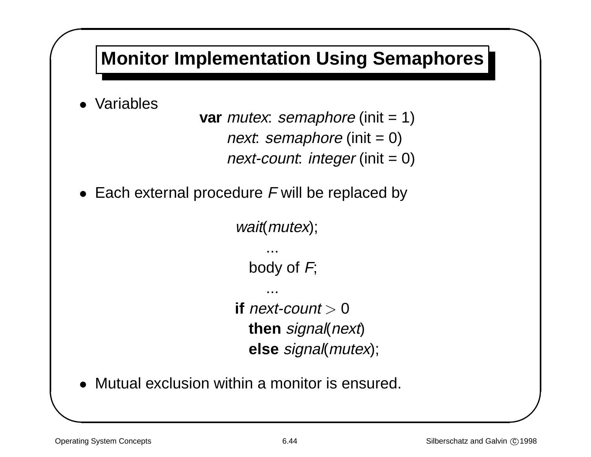

• Mutual exclusion within a monitor is ensured.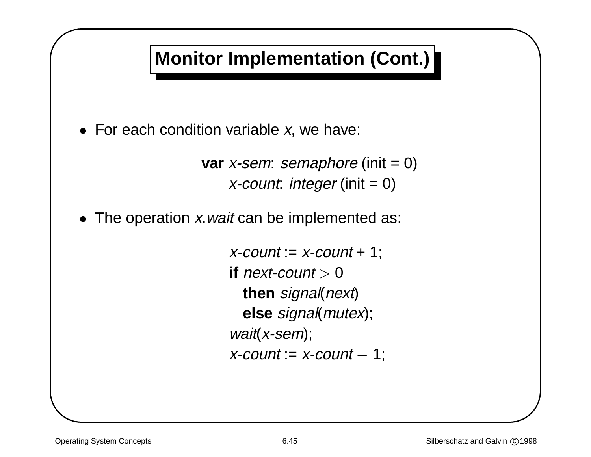# **Monitor Implementation (Cont.)**

& • For each condition variable  $x$ , we have:

**var** x-sem: semaphore (init = 0)  $x$ -count: integer (init = 0)

• The operation x wait can be implemented as:

 $x$ -count :=  $x$ -count + 1; **if** next-count  $> 0$ **then** signal(next) **else** signal(mutex); wait(x-sem);  $x$ -count :=  $x$ -count  $-1$ ;

 $\sqrt{2}$ 

 $\bigwedge$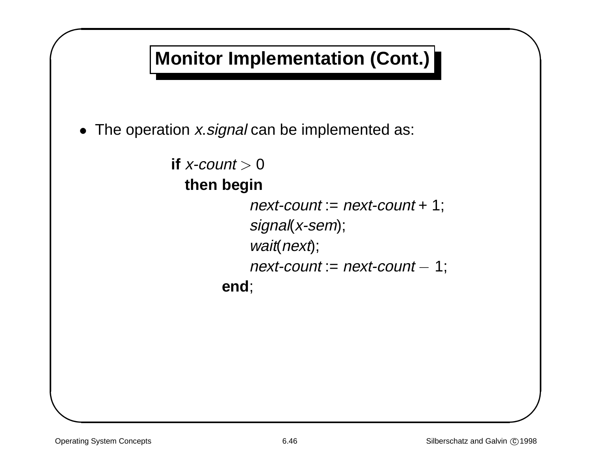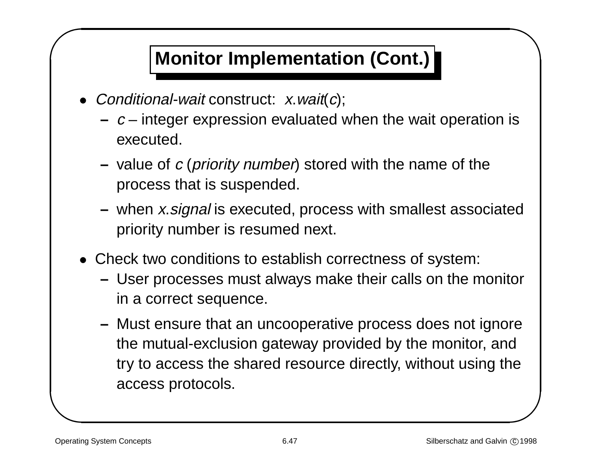# **Monitor Implementation (Cont.)**

- & • Conditional-wait construct:  $x$  wait $(c)$ ;
	- **–** <sup>c</sup> integer expression evaluated when the wait operation is executed.
	- **–** $-$  value of  $c$  (*priority number*) stored with the name of the process that is suspended.
	- **–** when x.signal is executed, process with smallest associated priority number is resumed next.
	- Check two conditions to establish correctness of system:
		- **–** User processes must always make their calls on the monitor in <sup>a</sup> correct sequence.
- is<br>ed<br>or<br>ed<br>De **–** Must ensure that an uncooperative process does not ignore the mutual-exclusion gateway provided by the monitor, and try to access the shared resource directly, without using the access protocols.

 $\sqrt{2}$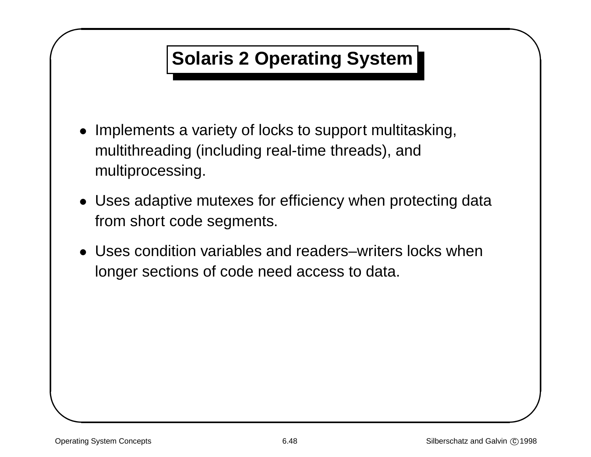# **Solaris 2 Operating System**

- & • Implements <sup>a</sup> variety of locks to support multitasking, multithreading (including real-time threads), and multiprocessing.
	- Uses adaptive mutexes for efficiency when protecting data from short code segments.
	- Uses condition variables and readers–writers locks when longer sections of code need access to data.

 $\sqrt{2}$ 

 $\bigwedge$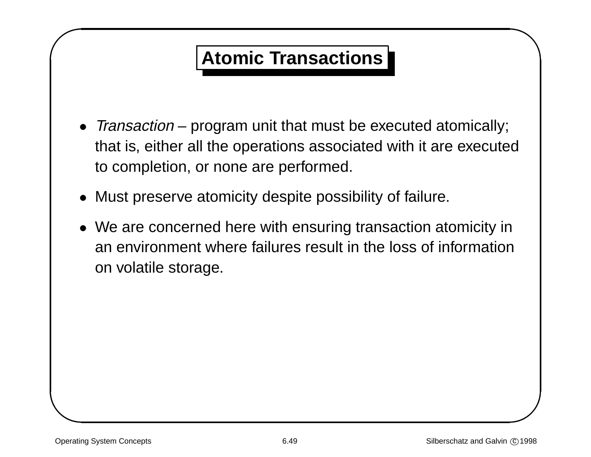## **Atomic Transactions**

- & % • Transaction – program unit that must be executed atomically; that is, either all the operations associated with it are executed to completion, or none are performed.
	- Must preserve atomicity despite possibility of failure.
	- We are concerned here with ensuring transaction atomicity in an environment where failures result in the loss of information on volatile storage.

 $\sqrt{2}$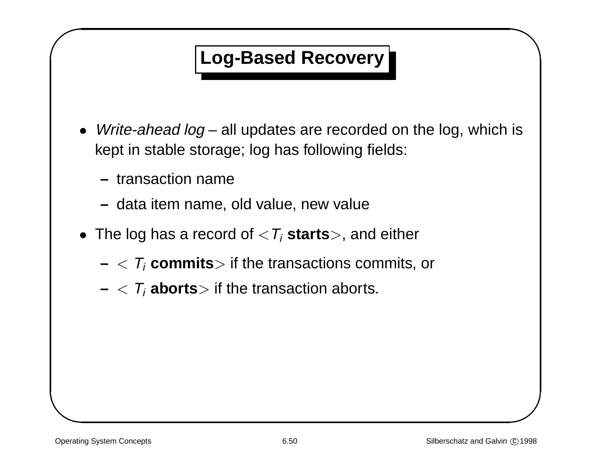### **Log-Based Recovery**

- & %  $\bullet\;$  *Write-ahead log* – all updates are recorded on the log, which is kept in stable storage; log has following fields:
	- **–** transaction name
	- **–** data item name, old value, new value
	- $\bullet\,$  The log has a record of  $<\! T_i$   $\tt starts$   $>$ , and either
		- **–** $<$   $\mathcal{T}_i$   $\boldsymbol{\mathsf{commits}}$  if the transactions commits, or
		- **–** $<$   $T_{i}$  **aborts** $>$  if the transaction aborts.

 $\sqrt{2}$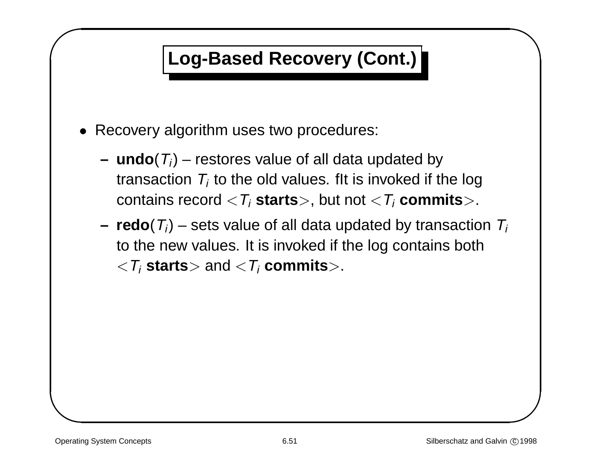# **Log-Based Recovery (Cont.)**

- & • Recovery algorithm uses two procedures:
	- **–** $\mathbf{u} \cdot \mathbf{u} \cdot \mathbf{u} = \mathbf{u} \cdot \mathbf{v}$  is stature of all data updated by transaction  $T_i$  to the old values. fit is invoked if the log contains record  $\langle T_i$  **starts** $>$ , but not  $\langle T_i$  **commits** $>$ .
- % **–redo**( $T_i$ ) – sets value of all data updated by transaction  $T_i$ to the new values. It is invoked if the log contains both  $\langle \mathcal{T}_i$  **starts** $>$  and  $\langle \mathcal{T}_i$  **commits** $>$ .

 $\sqrt{2}$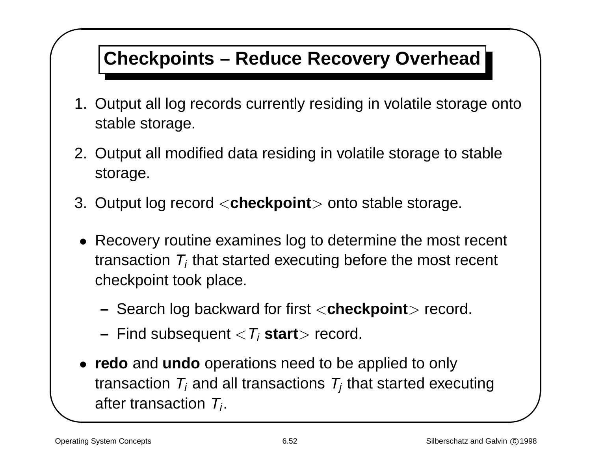## **Checkpoints – Reduce Recovery Overhead**

- $\begin{array}{c}\n\downarrow \\
\downarrow \\
\downarrow\n\end{array}$ 1. Output all log records currently residing in volatile storage onto stable storage.
- & 2. Output all modified data residing in volatile storage to stable storage.
	- 3. Output log record <sup>&</sup>lt;**checkpoint**<sup>&</sup>gt; onto stable storage.
		- Recovery routine examines log to determine the most recent transaction  $T_i$  that started executing before the most recent checkpoint took place.
			- **–**Search log backward for first <sup>&</sup>lt;**checkpoint**<sup>&</sup>gt; record.
			- **–** Find subsequent <sup>&</sup>lt;Ti **start**<sup>&</sup>gt; record.
		- **redo** and **undo** operations need to be applied to only transaction  $T_i$  and all transactions  $T_i$  that started executing after transaction  $T_i$ .

 $\sqrt{2}$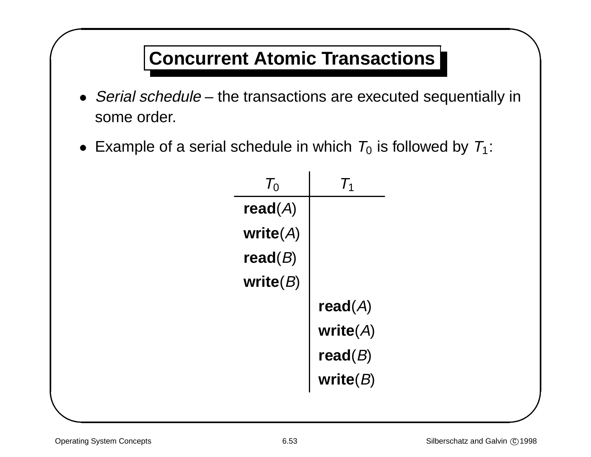## **Concurrent Atomic Transactions**

- &  $\begin{matrix} \n\vdots \\
\vdots\n\end{matrix}$ • Serial schedule – the transactions are executed sequentially in some order.
	- $\bullet~$  Example of a serial schedule in which  $\,_0$  is followed by  $\,_1$ :

| $T_0$       |             |
|-------------|-------------|
| read( $A$ ) |             |
| write $(A)$ |             |
| read( $B$ ) |             |
| write $(B)$ |             |
|             | read( $A$ ) |
|             | write $(A)$ |
|             | read( $B$ ) |
|             | write $(B)$ |

 $\sqrt{2}$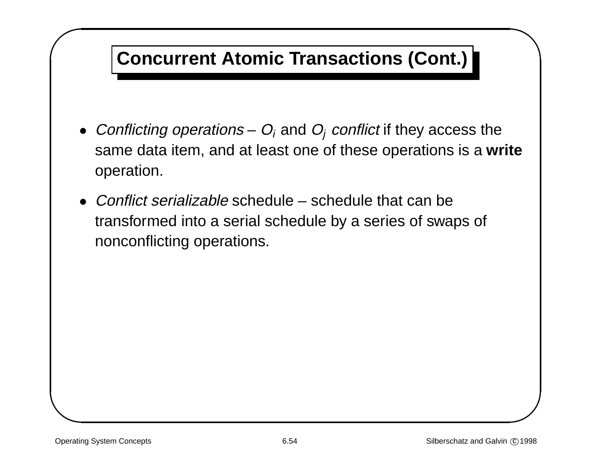## **Concurrent Atomic Transactions (Cont.)**

- $\begin{array}{c}\n\bullet \\
\bullet \\
\bullet\n\end{array}$  $\bullet~$  Conflicting operations –  $O_i$  and  $O_j$  conflict if they access the same data item, and at least one of these operations is <sup>a</sup> **write** operation.
- & • Conflict serializable schedule – schedule that can be transformed into <sup>a</sup> serial schedule by <sup>a</sup> series of swaps of nonconflicting operations.

 $\sqrt{2}$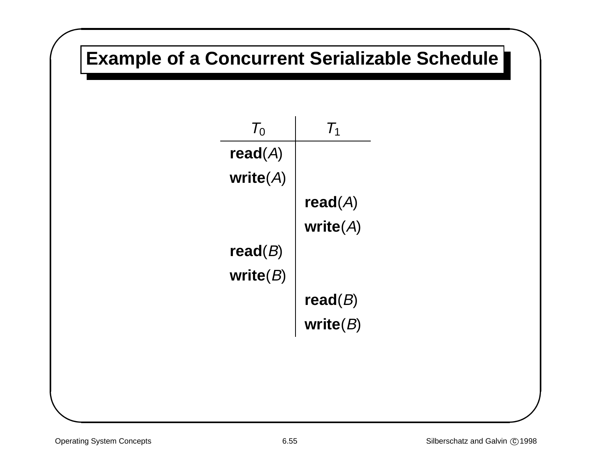# **Example of <sup>a</sup> Concurrent Serializable Schedule**

| 7 <sub>0</sub>     |             |
|--------------------|-------------|
| $\mathsf{read}(A)$ |             |
| write( $A$ )       |             |
|                    | read(A)     |
|                    | write $(A)$ |
| read( $B$ )        |             |
| write( $B$ )       |             |
|                    | read( $B$ ) |
|                    | write $(B)$ |

 $\sqrt{2}$ 

&

 $\bigcap$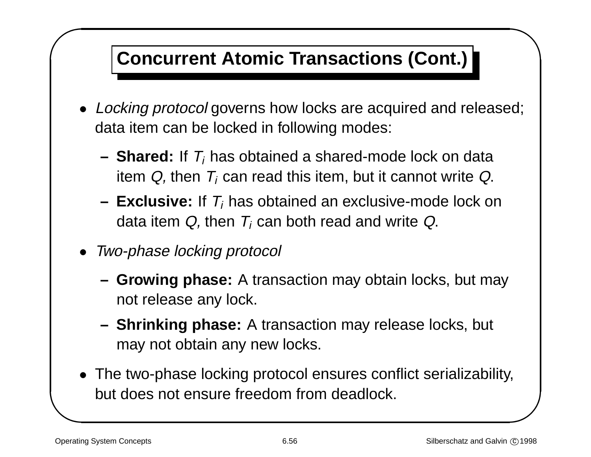# **Concurrent Atomic Transactions (Cont.)**

- &  $\begin{pmatrix} 1 \\ 2 \end{pmatrix}$ • Locking protocol governs how locks are acquired and released; data item can be locked in following modes:
	- **–Shared:** If  $T_i$  has obtained a shared-mode lock on data item Q, then  $T_i$  can read this item, but it cannot write Q.
	- **– Exclusive:** If Ti has obtained an exclusive-mode lock on data item  $Q$ , then  $T_i$  can both read and write  $Q$ .
	- Two-phase locking protocol
		- **– Growing phase:** A transaction may obtain locks, but may not release any lock.
		- **– Shrinking phase:** A transaction may release locks, but may not obtain any new locks.
	- The two-phase locking protocol ensures conflict serializability, but does not ensure freedom from deadlock.

 $\sqrt{2}$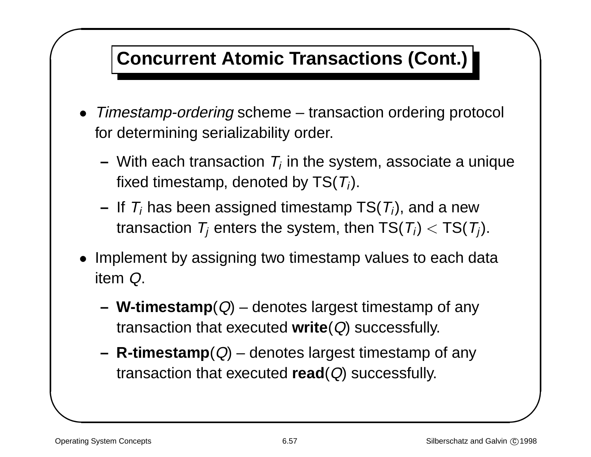## **Concurrent Atomic Transactions (Cont.)**

- & • Timestamp-ordering scheme – transaction ordering protocol for determining serializability order.
- %  $-$  With each transaction  $\mathcal{T}_i$  in the system, associate a unique fixed timestamp, denoted by  $TS(T_i)$ .
	- **–**– If  $\mathcal{T}_i$  has been assigned timestamp TS( $\mathcal{T}_i$ ), and a new transaction  $T_i$  enters the system, then  $TS(T_i) < TS(T_i)$ .
	- Implement by assigning two timestamp values to each data item Q.
		- **–W-timestamp** $(Q)$  – denotes largest timestamp of any transaction that executed **write**(Q) successfully.
		- **R-timestamp** $(Q)$  denotes largest timestamp of any transaction that executed **read**(Q) successfully.

 $\sqrt{2}$